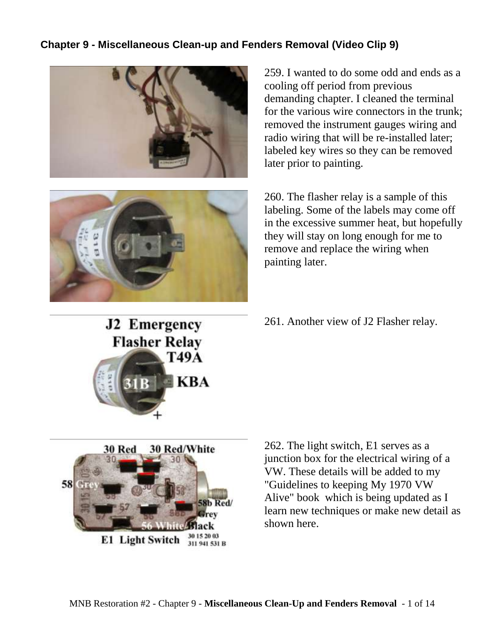## **Chapter 9 - Miscellaneous Clean-up and Fenders Removal (Video Clip 9)**





**J2 Emergency** 

**Flasher Relay** 

**T49A** 

30 15 20 03

311 941 531 B

259. I wanted to do some odd and ends as a cooling off period from previous demanding chapter. I cleaned the terminal for the various wire connectors in the trunk; removed the instrument gauges wiring and radio wiring that will be re-installed later; labeled key wires so they can be removed later prior to painting.

260. The flasher relay is a sample of this labeling. Some of the labels may come off in the excessive summer heat, but hopefully they will stay on long enough for me to remove and replace the wiring when painting later.

261. Another view of J2 Flasher relay.



**E1 Light Switch** 

262. The light switch, E1 serves as a junction box for the electrical wiring of a VW. These details will be added to my "Guidelines to keeping My 1970 VW Alive" book which is being updated as I learn new techniques or make new detail as shown here.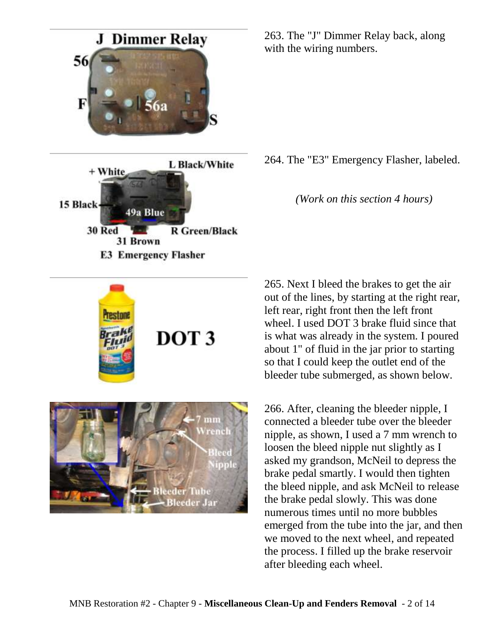

DOT<sub>3</sub>



263. The "J" Dimmer Relay back, along with the wiring numbers.

264. The "E3" Emergency Flasher, labeled.

*(Work on this section 4 hours)*

265. Next I bleed the brakes to get the air out of the lines, by starting at the right rear, left rear, right front then the left front wheel. I used DOT 3 brake fluid since that is what was already in the system. I poured about 1" of fluid in the jar prior to starting so that I could keep the outlet end of the bleeder tube submerged, as shown below.

266. After, cleaning the bleeder nipple, I connected a bleeder tube over the bleeder nipple, as shown, I used a 7 mm wrench to loosen the bleed nipple nut slightly as I asked my grandson, McNeil to depress the brake pedal smartly. I would then tighten the bleed nipple, and ask McNeil to release the brake pedal slowly. This was done numerous times until no more bubbles emerged from the tube into the jar, and then we moved to the next wheel, and repeated the process. I filled up the brake reservoir after bleeding each wheel.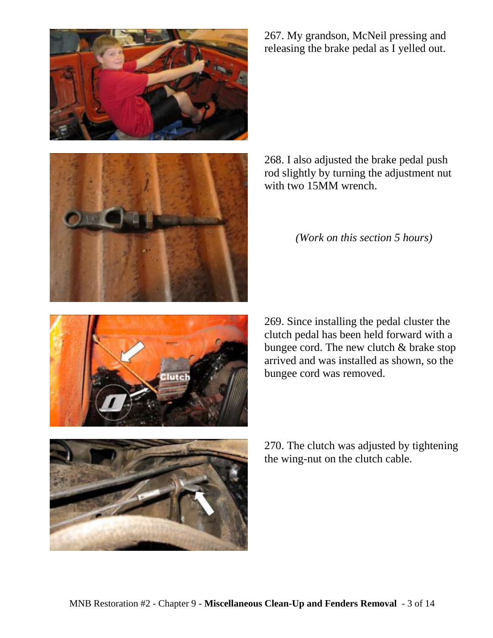





268. I also adjusted the brake pedal push rod slightly by turning the adjustment nut with two 15MM wrench.

*(Work on this section 5 hours)*





270. The clutch was adjusted by tightening the wing-nut on the clutch cable.

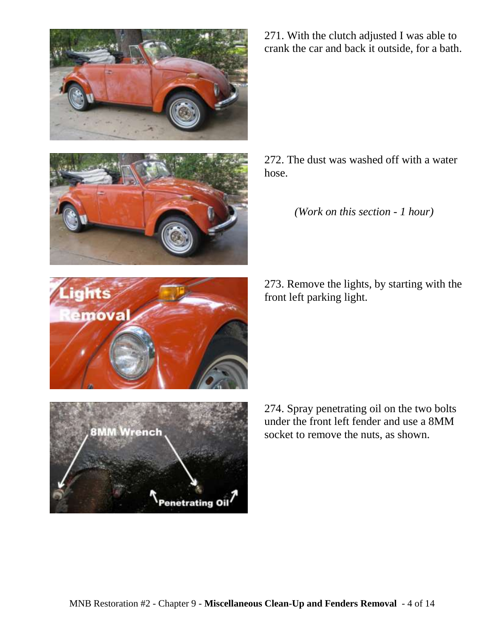



ants

emoval

271. With the clutch adjusted I was able to crank the car and back it outside, for a bath.

272. The dust was washed off with a water hose.

*(Work on this section - 1 hour)*

273. Remove the lights, by starting with the front left parking light.



274. Spray penetrating oil on the two bolts under the front left fender and use a 8MM socket to remove the nuts, as shown.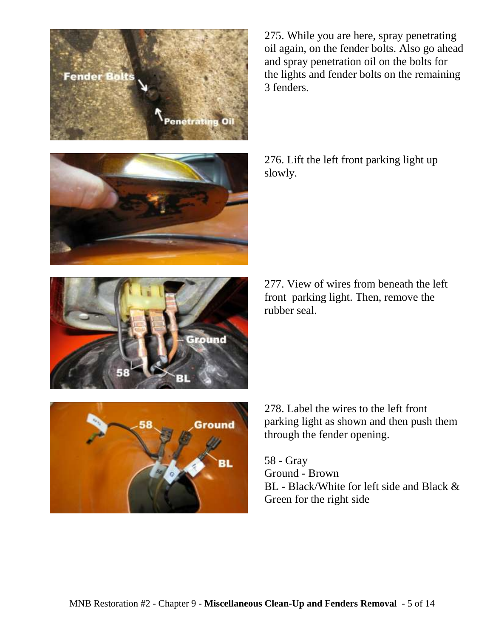

275. While you are here, spray penetrating oil again, on the fender bolts. Also go ahead and spray penetration oil on the bolts for the lights and fender bolts on the remaining 3 fenders.

276. Lift the left front parking light up slowly.

277. View of wires from beneath the left front parking light. Then, remove the



278. Label the wires to the left front parking light as shown and then push them through the fender opening.

58 - Gray Ground - Brown BL - Black/White for left side and Black & Green for the right side

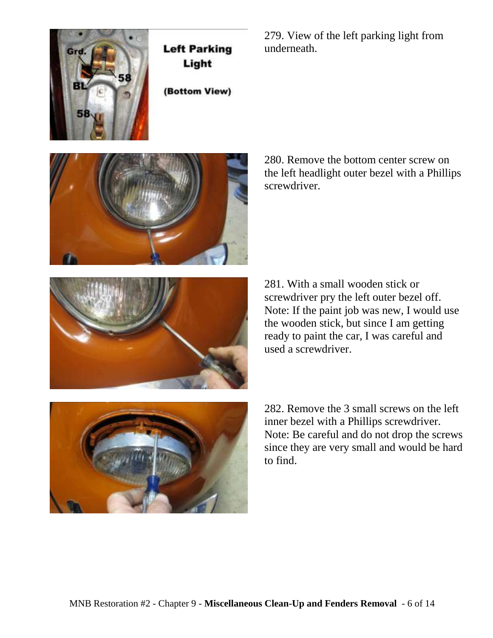

**Left Parking** Light

(Bottom View)

279. View of the left parking light from underneath.



280. Remove the bottom center screw on the left headlight outer bezel with a Phillips screwdriver.



281. With a small wooden stick or screwdriver pry the left outer bezel off. Note: If the paint job was new, I would use the wooden stick, but since I am getting ready to paint the car, I was careful and used a screwdriver.



282. Remove the 3 small screws on the left inner bezel with a Phillips screwdriver. Note: Be careful and do not drop the screws since they are very small and would be hard to find.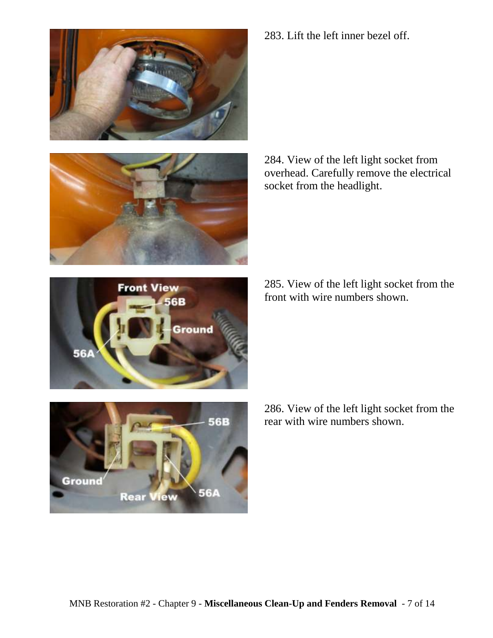





284. View of the left light socket from overhead. Carefully remove the electrical socket from the headlight.

285. View of the left light socket from the front with wire numbers shown.





286. View of the left light socket from the rear with wire numbers shown.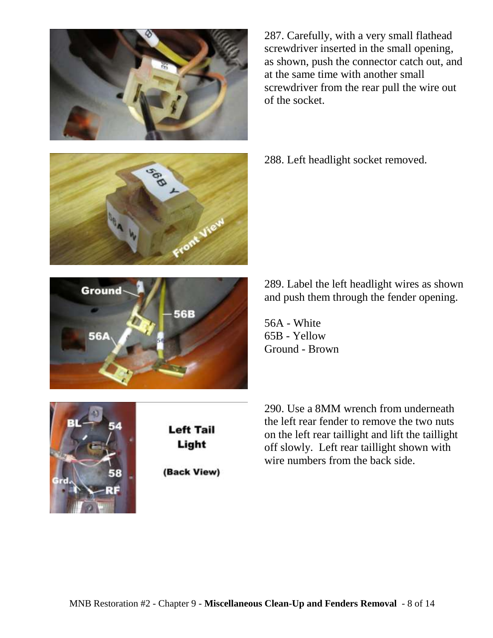



287. Carefully, with a very small flathead screwdriver inserted in the small opening, as shown, push the connector catch out, and at the same time with another small screwdriver from the rear pull the wire out of the socket.

288. Left headlight socket removed.

289. Label the left headlight wires as shown and push them through the fender opening.

56A - White

290. Use a 8MM wrench from underneath the left rear fender to remove the two nuts on the left rear taillight and lift the taillight off slowly. Left rear taillight shown with wire numbers from the back side.



**Left Tail** Light

(Back View)

65B - Yellow Ground - Brown



Jeb 1

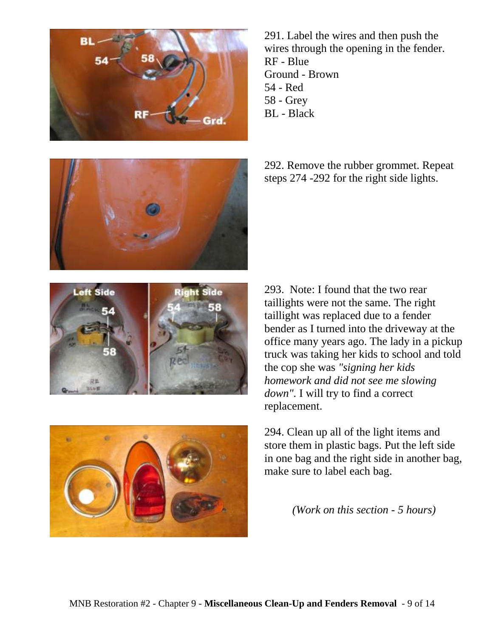



291. Label the wires and then push the wires through the opening in the fender. RF - Blue Ground - Brown 54 - Red 58 - Grey BL - Black

292. Remove the rubber grommet. Repeat steps 274 -292 for the right side lights.





293. Note: I found that the two rear taillights were not the same. The right taillight was replaced due to a fender bender as I turned into the driveway at the office many years ago. The lady in a pickup truck was taking her kids to school and told the cop she was *"signing her kids homework and did not see me slowing*  down". I will try to find a correct replacement.

294. Clean up all of the light items and store them in plastic bags. Put the left side in one bag and the right side in another bag, make sure to label each bag.

*(Work on this section - 5 hours)*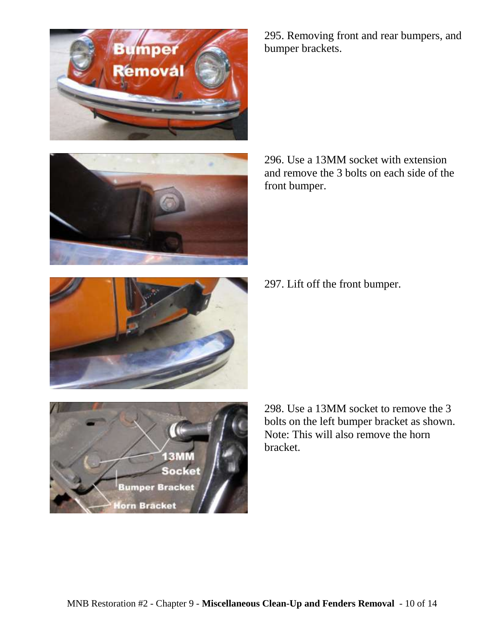

296. Use a 13MM socket with extension and remove the 3 bolts on each side of the front bumper.

297. Lift off the front bumper.

298. Use a 13MM socket to remove the 3 bolts on the left bumper bracket as shown. Note: This will also remove the horn bracket.





**Bumper Bracket** 

**Iorn Bracket** 



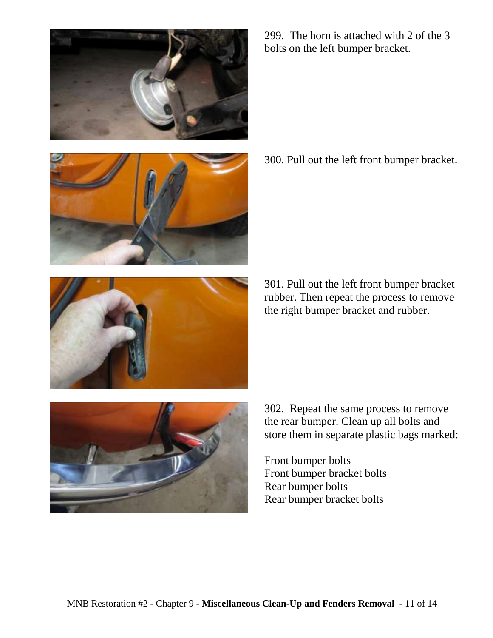



299. The horn is attached with 2 of the 3 bolts on the left bumper bracket.

300. Pull out the left front bumper bracket.



301. Pull out the left front bumper bracket rubber. Then repeat the process to remove the right bumper bracket and rubber.



302. Repeat the same process to remove the rear bumper. Clean up all bolts and store them in separate plastic bags marked:

Front bumper bolts Front bumper bracket bolts Rear bumper bolts Rear bumper bracket bolts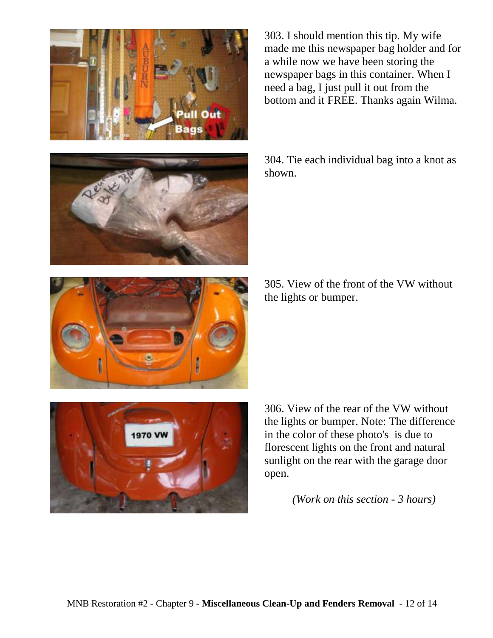



303. I should mention this tip. My wife made me this newspaper bag holder and for a while now we have been storing the newspaper bags in this container. When I need a bag, I just pull it out from the bottom and it FREE. Thanks again Wilma.

304. Tie each individual bag into a knot as shown.

305. View of the front of the VW without the lights or bumper.



306. View of the rear of the VW without the lights or bumper. Note: The difference in the color of these photo's is due to florescent lights on the front and natural sunlight on the rear with the garage door open.

*(Work on this section - 3 hours)*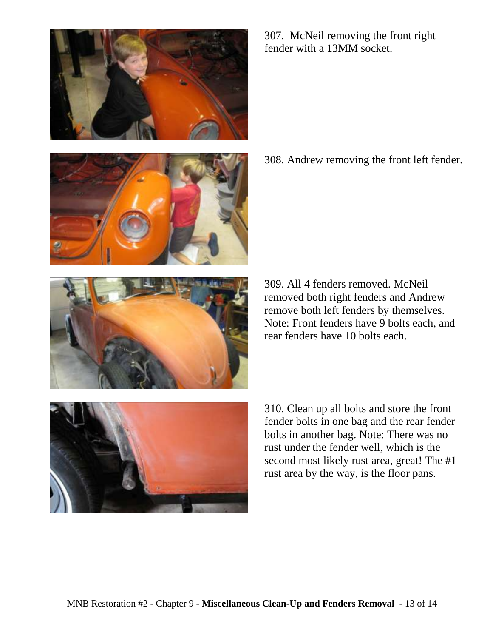



307. McNeil removing the front right fender with a 13MM socket.

308. Andrew removing the front left fender.



309. All 4 fenders removed. McNeil removed both right fenders and Andrew remove both left fenders by themselves. Note: Front fenders have 9 bolts each, and rear fenders have 10 bolts each.



310. Clean up all bolts and store the front fender bolts in one bag and the rear fender bolts in another bag. Note: There was no rust under the fender well, which is the second most likely rust area, great! The #1 rust area by the way, is the floor pans.